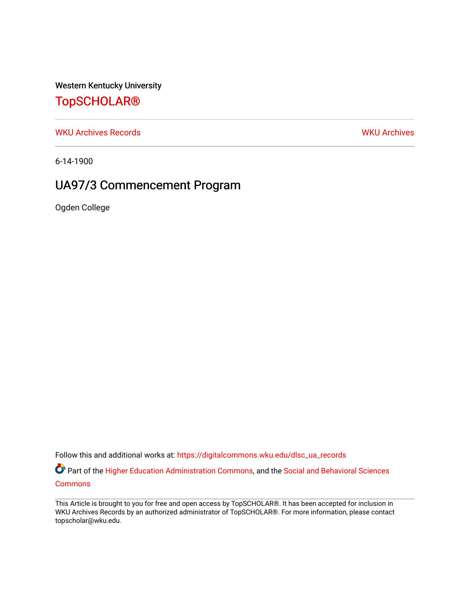Western Kentucky University

### [TopSCHOLAR®](https://digitalcommons.wku.edu/)

[WKU Archives Records](https://digitalcommons.wku.edu/dlsc_ua_records) [WKU Archives](https://digitalcommons.wku.edu/dlsc_ua) 

6-14-1900

## UA97/3 Commencement Program

Ogden College

Follow this and additional works at: [https://digitalcommons.wku.edu/dlsc\\_ua\\_records](https://digitalcommons.wku.edu/dlsc_ua_records?utm_source=digitalcommons.wku.edu%2Fdlsc_ua_records%2F8798&utm_medium=PDF&utm_campaign=PDFCoverPages)

Part of the [Higher Education Administration Commons,](http://network.bepress.com/hgg/discipline/791?utm_source=digitalcommons.wku.edu%2Fdlsc_ua_records%2F8798&utm_medium=PDF&utm_campaign=PDFCoverPages) and the [Social and Behavioral Sciences](http://network.bepress.com/hgg/discipline/316?utm_source=digitalcommons.wku.edu%2Fdlsc_ua_records%2F8798&utm_medium=PDF&utm_campaign=PDFCoverPages)  **[Commons](http://network.bepress.com/hgg/discipline/316?utm_source=digitalcommons.wku.edu%2Fdlsc_ua_records%2F8798&utm_medium=PDF&utm_campaign=PDFCoverPages)** 

This Article is brought to you for free and open access by TopSCHOLAR®. It has been accepted for inclusion in WKU Archives Records by an authorized administrator of TopSCHOLAR®. For more information, please contact topscholar@wku.edu.